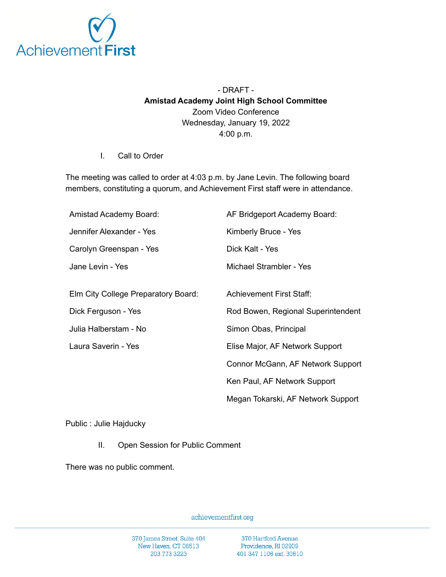

## - DRAFT - **Amistad Academy Joint High School Committee** Zoom Video Conference Wednesday, January 19, 2022 4:00 p.m.

I. Call to Order

The meeting was called to order at 4:03 p.m. by Jane Levin. The following board members, constituting a quorum, and Achievement First staff were in attendance.

| Amistad Academy Board:              | AF Bridgeport Academy Board:       |
|-------------------------------------|------------------------------------|
| Jennifer Alexander - Yes            | Kimberly Bruce - Yes               |
| Carolyn Greenspan - Yes             | Dick Kalt - Yes                    |
| Jane Levin - Yes                    | Michael Strambler - Yes            |
|                                     |                                    |
| Elm City College Preparatory Board: | <b>Achievement First Staff:</b>    |
| Dick Ferguson - Yes                 | Rod Bowen, Regional Superintendent |
| Julia Halberstam - No               | Simon Obas, Principal              |
| Laura Saverin - Yes                 | Elise Major, AF Network Support    |
|                                     | Connor McGann, AF Network Support  |
|                                     | Ken Paul, AF Network Support       |
|                                     | Megan Tokarski, AF Network Support |

Public : Julie Hajducky

II. Open Session for Public Comment

There was no public comment.

achievementfirst.org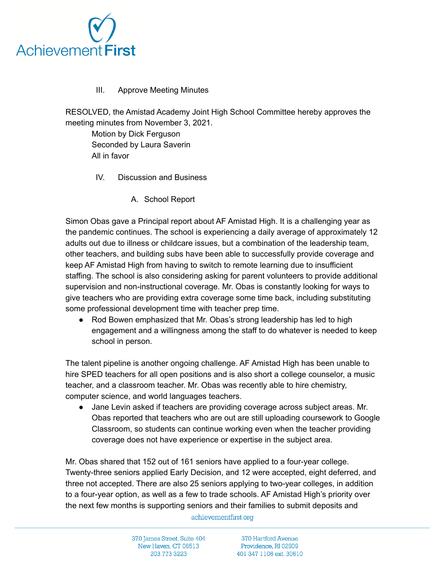

## III. Approve Meeting Minutes

RESOLVED, the Amistad Academy Joint High School Committee hereby approves the meeting minutes from November 3, 2021.

Motion by Dick Ferguson Seconded by Laura Saverin All in favor

- IV. Discussion and Business
	- A. School Report

Simon Obas gave a Principal report about AF Amistad High. It is a challenging year as the pandemic continues. The school is experiencing a daily average of approximately 12 adults out due to illness or childcare issues, but a combination of the leadership team, other teachers, and building subs have been able to successfully provide coverage and keep AF Amistad High from having to switch to remote learning due to insufficient staffing. The school is also considering asking for parent volunteers to provide additional supervision and non-instructional coverage. Mr. Obas is constantly looking for ways to give teachers who are providing extra coverage some time back, including substituting some professional development time with teacher prep time.

● Rod Bowen emphasized that Mr. Obas's strong leadership has led to high engagement and a willingness among the staff to do whatever is needed to keep school in person.

The talent pipeline is another ongoing challenge. AF Amistad High has been unable to hire SPED teachers for all open positions and is also short a college counselor, a music teacher, and a classroom teacher. Mr. Obas was recently able to hire chemistry, computer science, and world languages teachers.

● Jane Levin asked if teachers are providing coverage across subject areas. Mr. Obas reported that teachers who are out are still uploading coursework to Google Classroom, so students can continue working even when the teacher providing coverage does not have experience or expertise in the subject area.

Mr. Obas shared that 152 out of 161 seniors have applied to a four-year college. Twenty-three seniors applied Early Decision, and 12 were accepted, eight deferred, and three not accepted. There are also 25 seniors applying to two-year colleges, in addition to a four-year option, as well as a few to trade schools. AF Amistad High's priority over the next few months is supporting seniors and their families to submit deposits and

achievementfirst.org

370 James Street, Suite 404 New Haven, CT 06513 203 773 3223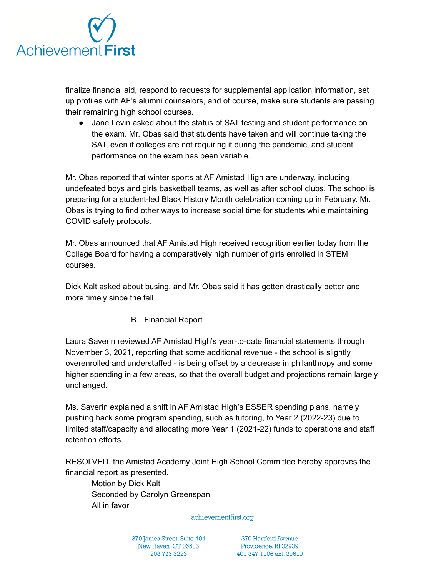

finalize financial aid, respond to requests for supplemental application information, set up profiles with AF's alumni counselors, and of course, make sure students are passing their remaining high school courses.

• Jane Levin asked about the status of SAT testing and student performance on the exam. Mr. Obas said that students have taken and will continue taking the SAT, even if colleges are not requiring it during the pandemic, and student performance on the exam has been variable.

Mr. Obas reported that winter sports at AF Amistad High are underway, including undefeated boys and girls basketball teams, as well as after school clubs. The school is preparing for a student-led Black History Month celebration coming up in February. Mr. Obas is trying to find other ways to increase social time for students while maintaining COVID safety protocols.

Mr. Obas announced that AF Amistad High received recognition earlier today from the College Board for having a comparatively high number of girls enrolled in STEM courses.

Dick Kalt asked about busing, and Mr. Obas said it has gotten drastically better and more timely since the fall.

B. Financial Report

Laura Saverin reviewed AF Amistad High's year-to-date financial statements through November 3, 2021, reporting that some additional revenue - the school is slightly overenrolled and understaffed - is being offset by a decrease in philanthropy and some higher spending in a few areas, so that the overall budget and projections remain largely unchanged.

Ms. Saverin explained a shift in AF Amistad High's ESSER spending plans, namely pushing back some program spending, such as tutoring, to Year 2 (2022-23) due to limited staff/capacity and allocating more Year 1 (2021-22) funds to operations and staff retention efforts.

RESOLVED, the Amistad Academy Joint High School Committee hereby approves the financial report as presented.

Motion by Dick Kalt Seconded by Carolyn Greenspan All in favor

achievementfirst.org

370 James Street, Suite 404 New Haven, CT 06513 203 773 3223